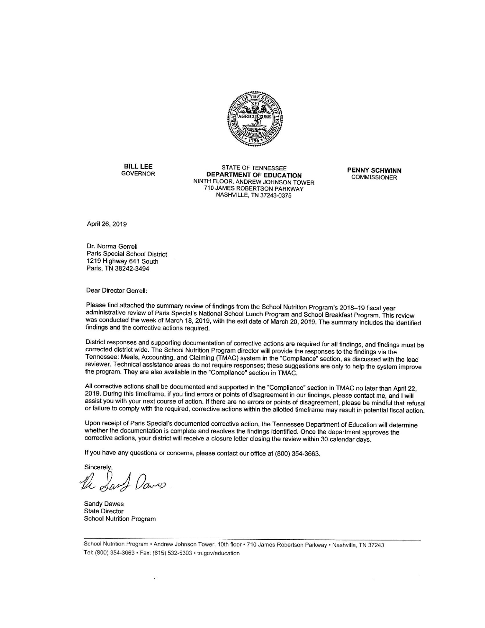

**BILL LEE GOVERNOR** 

**STATE OF TENNESSEE DEPARTMENT OF EDUCATION** NINTH FLOOR, ANDREW JOHNSON TOWER 710 JAMES ROBERTSON PARKWAY NASHVILLE, TN 37243-0375

**PENNY SCHWINN COMMISSIONER** 

April 26, 2019

Dr. Norma Gerrell Paris Special School District 1219 Highway 641 South Paris, TN 38242-3494

Dear Director Gerrell:

Please find attached the summary review of findings from the School Nutrition Program's 2018-19 fiscal year administrative review of Paris Special's National School Lunch Program and School Breakfast Program. This review was conducted the week of March 18, 2019, with the exit date of March 20, 2019. The summary includes the identified findings and the corrective actions required.

District responses and supporting documentation of corrective actions are required for all findings, and findings must be corrected district wide. The School Nutrition Program director will provide the responses to the findings via the Tennessee: Meals, Accounting, and Claiming (TMAC) system in the "Compliance" section, as discussed with the lead reviewer. Technical assistance areas do not require responses; these suggestions are only to help the system improve the program. They are also available in the "Compliance" section in TMAC.

All corrective actions shall be documented and supported in the "Compliance" section in TMAC no later than April 22, 2019. During this timeframe, if you find errors or points of disagreement in our findings, please contact me, and I will assist you with your next course of action. If there are no errors or points of disagreement, please be mindful that refusal or failure to comply with the required, corrective actions within the allotted timeframe may result in potential fiscal action.

Upon receipt of Paris Special's documented corrective action, the Tennessee Department of Education will determine whether the documentation is complete and resolves the findings identified. Once the department approves the corrective actions, your district will receive a closure letter closing the review within 30 calendar days.

If you have any questions or concerns, please contact our office at (800) 354-3663.

Sincerely Sant Daves

**Sandy Dawes State Director School Nutrition Program** 

School Nutrition Program · Andrew Johnson Tower, 10th floor · 710 James Robertson Parkway · Nashville, TN 37243 Tel: (800) 354-3663 · Fax: (615) 532-5303 · tn.gov/education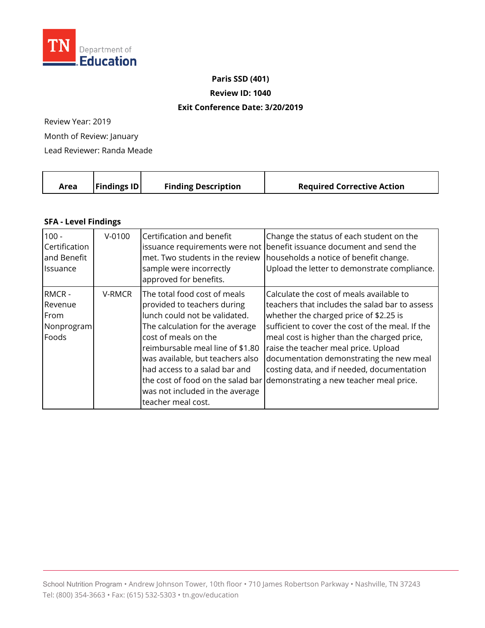

**Paris SSD (401)**

**Review ID: 1040**

## **Exit Conference Date: 3/20/2019**

Review Year: 2019

Month of Review: January

Lead Reviewer: Randa Meade

|  | Area | $\vert$ Findings ID $\vert$ | <b>Finding Description</b> | <b>Required Corrective Action</b> |
|--|------|-----------------------------|----------------------------|-----------------------------------|
|--|------|-----------------------------|----------------------------|-----------------------------------|

## **SFA - Level Findings**

| $100 -$                                         | $V - 0100$ | Certification and benefit                                                                                                                                                                                                                                                                                                 | Change the status of each student on the                                                                                                                                                                                                                                                                                                                                                                                                               |
|-------------------------------------------------|------------|---------------------------------------------------------------------------------------------------------------------------------------------------------------------------------------------------------------------------------------------------------------------------------------------------------------------------|--------------------------------------------------------------------------------------------------------------------------------------------------------------------------------------------------------------------------------------------------------------------------------------------------------------------------------------------------------------------------------------------------------------------------------------------------------|
| Certification                                   |            | met. Two students in the review                                                                                                                                                                                                                                                                                           | issuance requirements were not benefit issuance document and send the                                                                                                                                                                                                                                                                                                                                                                                  |
| and Benefit                                     |            | sample were incorrectly                                                                                                                                                                                                                                                                                                   | households a notice of benefit change.                                                                                                                                                                                                                                                                                                                                                                                                                 |
| <b>Issuance</b>                                 |            | approved for benefits.                                                                                                                                                                                                                                                                                                    | Upload the letter to demonstrate compliance.                                                                                                                                                                                                                                                                                                                                                                                                           |
| RMCR-<br>Revenue<br>From<br>Nonprogram<br>Foods | V-RMCR     | The total food cost of meals<br>provided to teachers during<br>lunch could not be validated.<br>The calculation for the average<br>cost of meals on the<br>reimbursable meal line of \$1.80<br>was available, but teachers also<br>had access to a salad bar and<br>was not included in the average<br>teacher meal cost. | Calculate the cost of meals available to<br>teachers that includes the salad bar to assess<br>whether the charged price of \$2.25 is<br>sufficient to cover the cost of the meal. If the<br>meal cost is higher than the charged price,<br>raise the teacher meal price. Upload<br>documentation demonstrating the new meal<br>costing data, and if needed, documentation<br>the cost of food on the salad bar demonstrating a new teacher meal price. |